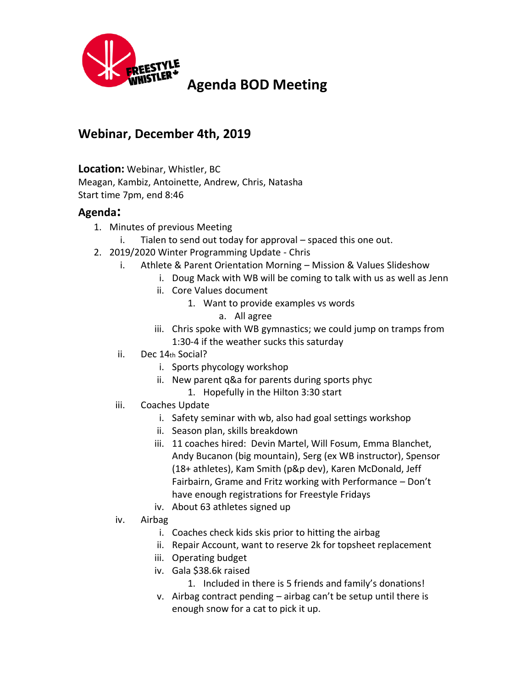

## **Webinar, December 4th, 2019**

## **Location:** Webinar, Whistler, BC

Meagan, Kambiz, Antoinette, Andrew, Chris, Natasha Start time 7pm, end 8:46

## **Agenda:**

- 1. Minutes of previous Meeting
	- i. Tialen to send out today for approval spaced this one out.
- 2. 2019/2020 Winter Programming Update Chris
	- i. Athlete & Parent Orientation Morning Mission & Values Slideshow
		- i. Doug Mack with WB will be coming to talk with us as well as Jenn
		- ii. Core Values document
			- 1. Want to provide examples vs words
				- a. All agree
		- iii. Chris spoke with WB gymnastics; we could jump on tramps from 1:30-4 if the weather sucks this saturday
	- ii. Dec 14th Social?
		- i. Sports phycology workshop
		- ii. New parent q&a for parents during sports phyc
			- 1. Hopefully in the Hilton 3:30 start
	- iii. Coaches Update
		- i. Safety seminar with wb, also had goal settings workshop
		- ii. Season plan, skills breakdown
		- iii. 11 coaches hired: Devin Martel, Will Fosum, Emma Blanchet, Andy Bucanon (big mountain), Serg (ex WB instructor), Spensor (18+ athletes), Kam Smith (p&p dev), Karen McDonald, Jeff Fairbairn, Grame and Fritz working with Performance – Don't have enough registrations for Freestyle Fridays
		- iv. About 63 athletes signed up
	- iv. Airbag
		- i. Coaches check kids skis prior to hitting the airbag
		- ii. Repair Account, want to reserve 2k for topsheet replacement
		- iii. Operating budget
		- iv. Gala \$38.6k raised
			- 1. Included in there is 5 friends and family's donations!
		- v. Airbag contract pending airbag can't be setup until there is enough snow for a cat to pick it up.